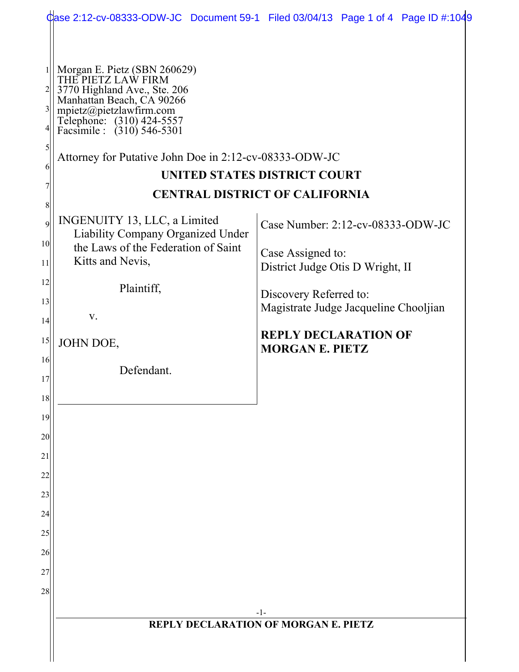|                                                                    |                                                                                                                                                                                                                                                                 | Case 2:12-cv-08333-ODW-JC Document 59-1 Filed 03/04/13 Page 1 of 4 Page ID #:1049                   |  |
|--------------------------------------------------------------------|-----------------------------------------------------------------------------------------------------------------------------------------------------------------------------------------------------------------------------------------------------------------|-----------------------------------------------------------------------------------------------------|--|
| $\frac{1}{2}$<br>$2\vert$<br>$3\vert$<br>4 <br>$\mathfrak{S}$<br>6 | Morgan E. Pietz (SBN 260629)<br>THE PIETZ LAW FIRM<br>3770 Highland Ave., Ste. 206<br>Manhattan Beach, CA 90266<br>mpietz@pietzlawfirm.com<br>Telephone: (310) 424-5557<br>Facsimile : (310) 546-5301<br>Attorney for Putative John Doe in 2:12-cv-08333-ODW-JC | UNITED STATES DISTRICT COURT                                                                        |  |
|                                                                    | <b>CENTRAL DISTRICT OF CALIFORNIA</b>                                                                                                                                                                                                                           |                                                                                                     |  |
| 8<br>9<br>10 <sup>1</sup><br>11                                    | INGENUITY 13, LLC, a Limited<br><b>Liability Company Organized Under</b><br>the Laws of the Federation of Saint<br>Kitts and Nevis,                                                                                                                             | Case Number: 2:12-cv-08333-ODW-JC<br>Case Assigned to:                                              |  |
| 12<br>13<br>14                                                     | Plaintiff,<br>V.                                                                                                                                                                                                                                                | District Judge Otis D Wright, II<br>Discovery Referred to:<br>Magistrate Judge Jacqueline Chooljian |  |
| 15                                                                 | JOHN DOE,                                                                                                                                                                                                                                                       | <b>REPLY DECLARATION OF</b><br><b>MORGAN E. PIETZ</b>                                               |  |
| 16<br>17                                                           | Defendant.                                                                                                                                                                                                                                                      |                                                                                                     |  |
| 18                                                                 |                                                                                                                                                                                                                                                                 |                                                                                                     |  |
| 19                                                                 |                                                                                                                                                                                                                                                                 |                                                                                                     |  |
| 20                                                                 |                                                                                                                                                                                                                                                                 |                                                                                                     |  |
| 21                                                                 |                                                                                                                                                                                                                                                                 |                                                                                                     |  |
| 22                                                                 |                                                                                                                                                                                                                                                                 |                                                                                                     |  |
| 23                                                                 |                                                                                                                                                                                                                                                                 |                                                                                                     |  |
| 24<br>25                                                           |                                                                                                                                                                                                                                                                 |                                                                                                     |  |
| 26                                                                 |                                                                                                                                                                                                                                                                 |                                                                                                     |  |
| 27                                                                 |                                                                                                                                                                                                                                                                 |                                                                                                     |  |
| 28                                                                 |                                                                                                                                                                                                                                                                 |                                                                                                     |  |
|                                                                    | $-1-$                                                                                                                                                                                                                                                           |                                                                                                     |  |
|                                                                    | REPLY DECLARATION OF MORGAN E. PIETZ                                                                                                                                                                                                                            |                                                                                                     |  |
|                                                                    |                                                                                                                                                                                                                                                                 |                                                                                                     |  |
|                                                                    |                                                                                                                                                                                                                                                                 |                                                                                                     |  |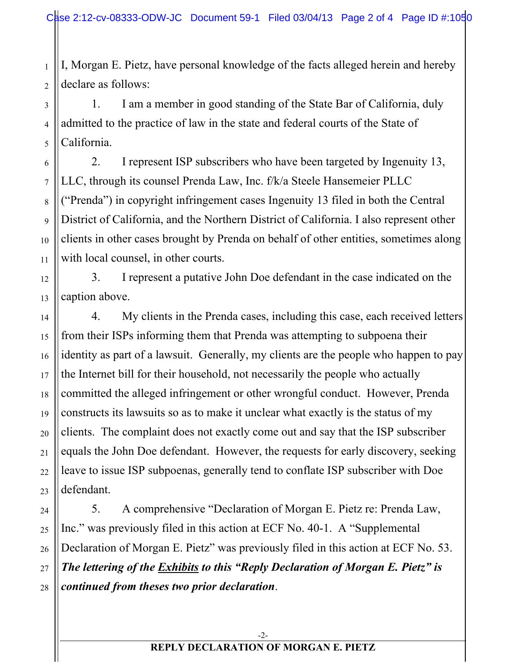2 I, Morgan E. Pietz, have personal knowledge of the facts alleged herein and hereby declare as follows:

1

6

7

8

9

10

11

12

13

14

15

16

17

18

19

20

21

22

23

24

25

26

27

28

3 4 5 1. I am a member in good standing of the State Bar of California, duly admitted to the practice of law in the state and federal courts of the State of California.

2. I represent ISP subscribers who have been targeted by Ingenuity 13, LLC, through its counsel Prenda Law, Inc. f/k/a Steele Hansemeier PLLC ("Prenda") in copyright infringement cases Ingenuity 13 filed in both the Central District of California, and the Northern District of California. I also represent other clients in other cases brought by Prenda on behalf of other entities, sometimes along with local counsel, in other courts.

3. I represent a putative John Doe defendant in the case indicated on the caption above.

4. My clients in the Prenda cases, including this case, each received letters from their ISPs informing them that Prenda was attempting to subpoena their identity as part of a lawsuit. Generally, my clients are the people who happen to pay the Internet bill for their household, not necessarily the people who actually committed the alleged infringement or other wrongful conduct. However, Prenda constructs its lawsuits so as to make it unclear what exactly is the status of my clients. The complaint does not exactly come out and say that the ISP subscriber equals the John Doe defendant. However, the requests for early discovery, seeking leave to issue ISP subpoenas, generally tend to conflate ISP subscriber with Doe defendant.

5. A comprehensive "Declaration of Morgan E. Pietz re: Prenda Law, Inc." was previously filed in this action at ECF No. 40-1. A "Supplemental Declaration of Morgan E. Pietz" was previously filed in this action at ECF No. 53. *The lettering of the Exhibits to this "Reply Declaration of Morgan E. Pietz" is continued from theses two prior declaration*.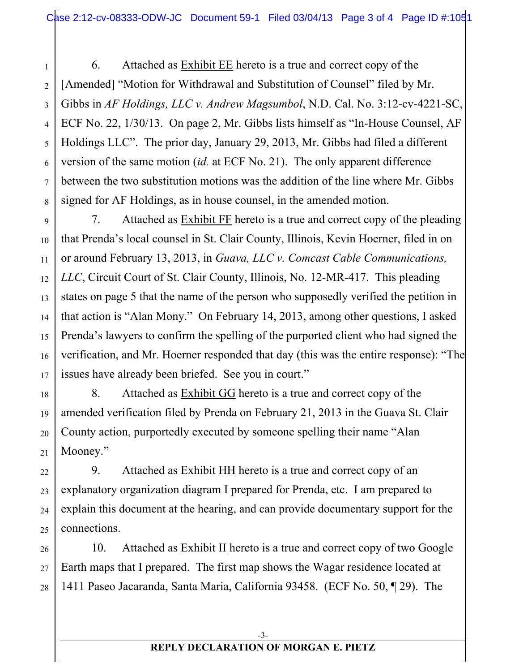1

2

3

4

5

6

7

8

9

10

11

12

13

14

15

16

17

18

19

20

21

6. Attached as Exhibit EE hereto is a true and correct copy of the [Amended] "Motion for Withdrawal and Substitution of Counsel" filed by Mr. Gibbs in *AF Holdings, LLC v. Andrew Magsumbol*, N.D. Cal. No. 3:12-cv-4221-SC, ECF No. 22, 1/30/13. On page 2, Mr. Gibbs lists himself as "In-House Counsel, AF Holdings LLC". The prior day, January 29, 2013, Mr. Gibbs had filed a different version of the same motion (*id.* at ECF No. 21). The only apparent difference between the two substitution motions was the addition of the line where Mr. Gibbs signed for AF Holdings, as in house counsel, in the amended motion.

7. Attached as **Exhibit FF** hereto is a true and correct copy of the pleading that Prenda's local counsel in St. Clair County, Illinois, Kevin Hoerner, filed in on or around February 13, 2013, in *Guava, LLC v. Comcast Cable Communications, LLC*, Circuit Court of St. Clair County, Illinois, No. 12-MR-417. This pleading states on page 5 that the name of the person who supposedly verified the petition in that action is "Alan Mony." On February 14, 2013, among other questions, I asked Prenda's lawyers to confirm the spelling of the purported client who had signed the verification, and Mr. Hoerner responded that day (this was the entire response): "The issues have already been briefed. See you in court."

8. Attached as Exhibit GG hereto is a true and correct copy of the amended verification filed by Prenda on February 21, 2013 in the Guava St. Clair County action, purportedly executed by someone spelling their name "Alan Mooney."

22 23 24 25 9. Attached as Exhibit HH hereto is a true and correct copy of an explanatory organization diagram I prepared for Prenda, etc. I am prepared to explain this document at the hearing, and can provide documentary support for the connections.

26 27 28 10. Attached as Exhibit II hereto is a true and correct copy of two Google Earth maps that I prepared. The first map shows the Wagar residence located at 1411 Paseo Jacaranda, Santa Maria, California 93458. (ECF No. 50, ¶ 29). The

## **REPLY DECLARATION OF MORGAN E. PIETZ**